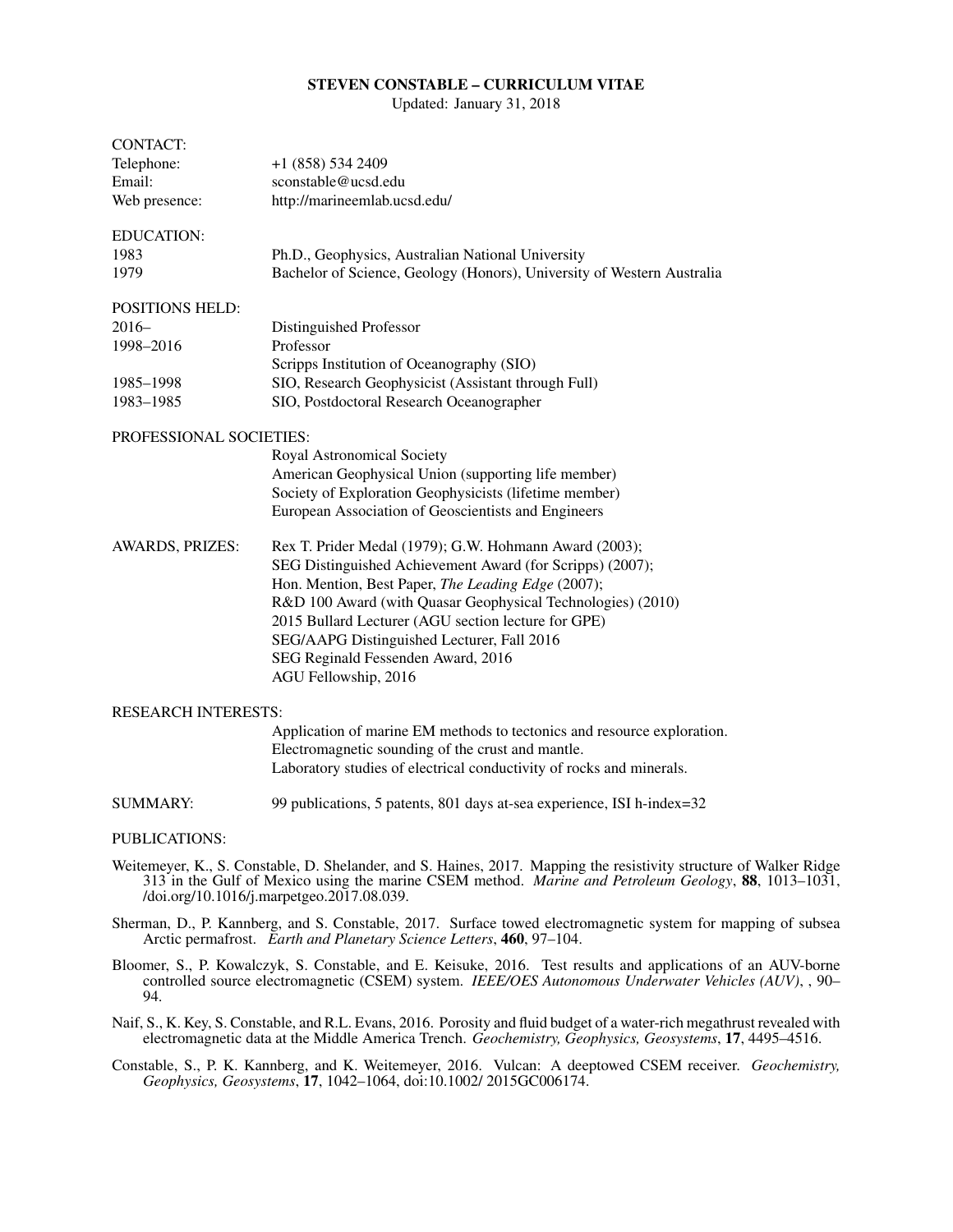## STEVEN CONSTABLE – CURRICULUM VITAE

Updated: January 31, 2018

| <b>CONTACT:</b><br>Telephone:<br>Email:<br>Web presence:                                                                                                                                                                                                                | +1 (858) 534 2409<br>sconstable@ucsd.edu<br>http://marineemlab.ucsd.edu/                                                                                                                                                                                                                                                                                                                                    |
|-------------------------------------------------------------------------------------------------------------------------------------------------------------------------------------------------------------------------------------------------------------------------|-------------------------------------------------------------------------------------------------------------------------------------------------------------------------------------------------------------------------------------------------------------------------------------------------------------------------------------------------------------------------------------------------------------|
| <b>EDUCATION:</b><br>1983<br>1979                                                                                                                                                                                                                                       | Ph.D., Geophysics, Australian National University<br>Bachelor of Science, Geology (Honors), University of Western Australia                                                                                                                                                                                                                                                                                 |
| <b>POSITIONS HELD:</b><br>$2016-$<br>1998-2016<br>1985-1998                                                                                                                                                                                                             | Distinguished Professor<br>Professor<br>Scripps Institution of Oceanography (SIO)<br>SIO, Research Geophysicist (Assistant through Full)                                                                                                                                                                                                                                                                    |
| 1983-1985                                                                                                                                                                                                                                                               | SIO, Postdoctoral Research Oceanographer                                                                                                                                                                                                                                                                                                                                                                    |
| <b>PROFESSIONAL SOCIETIES:</b>                                                                                                                                                                                                                                          | Royal Astronomical Society<br>American Geophysical Union (supporting life member)<br>Society of Exploration Geophysicists (lifetime member)<br>European Association of Geoscientists and Engineers                                                                                                                                                                                                          |
| AWARDS, PRIZES:                                                                                                                                                                                                                                                         | Rex T. Prider Medal (1979); G.W. Hohmann Award (2003);<br>SEG Distinguished Achievement Award (for Scripps) (2007);<br>Hon. Mention, Best Paper, The Leading Edge (2007);<br>R&D 100 Award (with Quasar Geophysical Technologies) (2010)<br>2015 Bullard Lecturer (AGU section lecture for GPE)<br>SEG/AAPG Distinguished Lecturer, Fall 2016<br>SEG Reginald Fessenden Award, 2016<br>AGU Fellowship, 2016 |
| <b>RESEARCH INTERESTS:</b>                                                                                                                                                                                                                                              |                                                                                                                                                                                                                                                                                                                                                                                                             |
|                                                                                                                                                                                                                                                                         | Application of marine EM methods to tectonics and resource exploration.<br>Electromagnetic sounding of the crust and mantle.<br>Laboratory studies of electrical conductivity of rocks and minerals.                                                                                                                                                                                                        |
| <b>SUMMARY:</b>                                                                                                                                                                                                                                                         | 99 publications, 5 patents, 801 days at-sea experience, ISI h-index=32                                                                                                                                                                                                                                                                                                                                      |
| <b>PUBLICATIONS:</b>                                                                                                                                                                                                                                                    |                                                                                                                                                                                                                                                                                                                                                                                                             |
| Weitemeyer, K., S. Constable, D. Shelander, and S. Haines, 2017. Mapping the resistivity structure of Walker Ridge<br>313 in the Gulf of Mexico using the marine CSEM method. Marine and Petroleum Geology, 88, 1013–1031,<br>/doi.org/10.1016/j.marpetgeo.2017.08.039. |                                                                                                                                                                                                                                                                                                                                                                                                             |
| Sherman, D., P. Kannberg, and S. Constable, 2017. Surface towed electromagnetic system for mapping of subsea<br>Arctic permafrost. Earth and Planetary Science Letters, 460, 97-104.                                                                                    |                                                                                                                                                                                                                                                                                                                                                                                                             |

- Bloomer, S., P. Kowalczyk, S. Constable, and E. Keisuke, 2016. Test results and applications of an AUV-borne controlled source electromagnetic (CSEM) system. *IEEE/OES Autonomous Underwater Vehicles (AUV)*, , 90– 94.
- Naif, S., K. Key, S. Constable, and R.L. Evans, 2016. Porosity and fluid budget of a water-rich megathrust revealed with electromagnetic data at the Middle America Trench. *Geochemistry, Geophysics, Geosystems*, 17, 4495–4516.
- Constable, S., P. K. Kannberg, and K. Weitemeyer, 2016. Vulcan: A deeptowed CSEM receiver. *Geochemistry, Geophysics, Geosystems*, 17, 1042–1064, doi:10.1002/ 2015GC006174.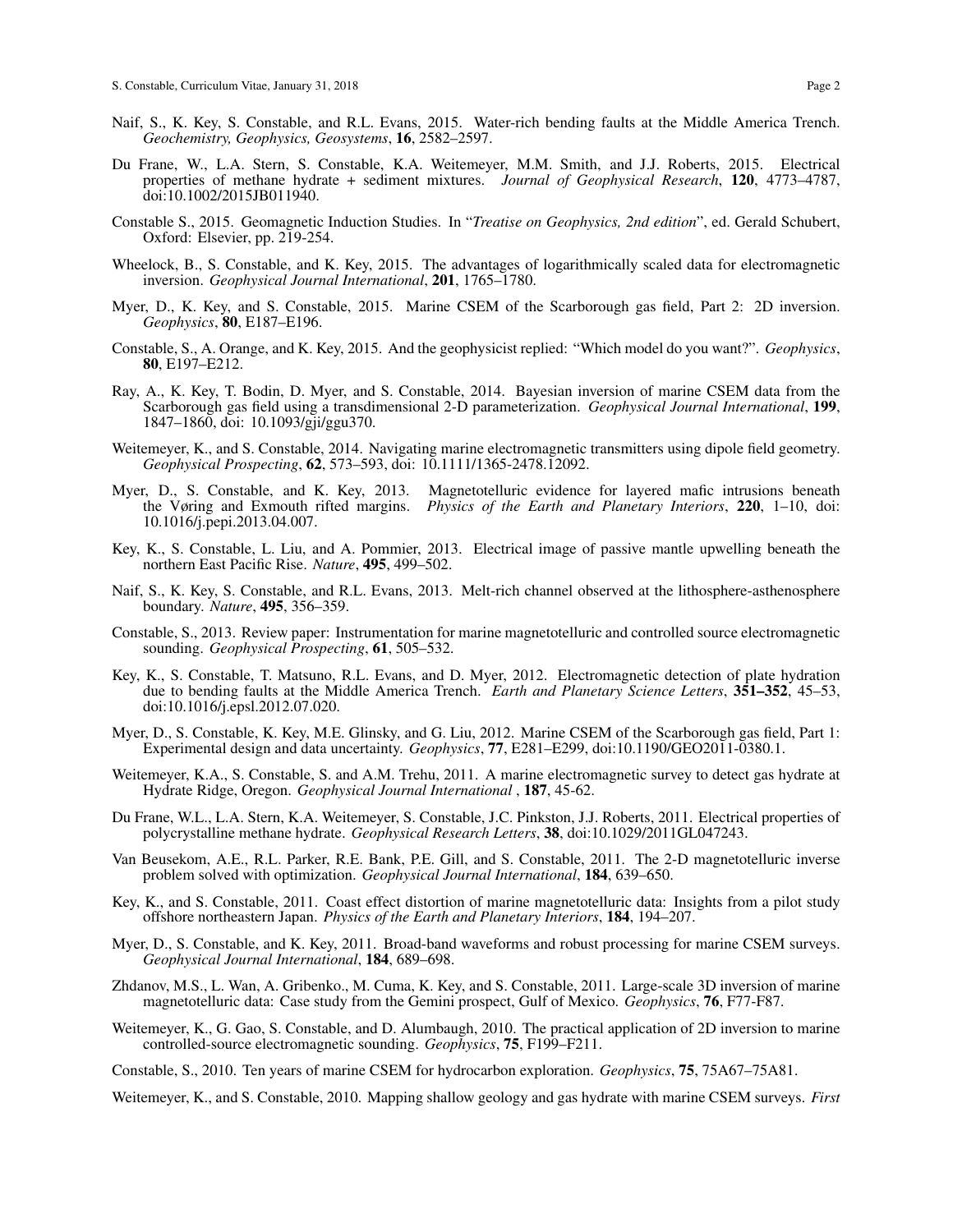- Naif, S., K. Key, S. Constable, and R.L. Evans, 2015. Water-rich bending faults at the Middle America Trench. *Geochemistry, Geophysics, Geosystems*, 16, 2582–2597.
- Du Frane, W., L.A. Stern, S. Constable, K.A. Weitemeyer, M.M. Smith, and J.J. Roberts, 2015. Electrical properties of methane hydrate + sediment mixtures. *Journal of Geophysical Research*, 120, 4773–4787, doi:10.1002/2015JB011940.
- Constable S., 2015. Geomagnetic Induction Studies. In "*Treatise on Geophysics, 2nd edition*", ed. Gerald Schubert, Oxford: Elsevier, pp. 219-254.
- Wheelock, B., S. Constable, and K. Key, 2015. The advantages of logarithmically scaled data for electromagnetic inversion. *Geophysical Journal International*, 201, 1765–1780.
- Myer, D., K. Key, and S. Constable, 2015. Marine CSEM of the Scarborough gas field, Part 2: 2D inversion. *Geophysics*, 80, E187–E196.
- Constable, S., A. Orange, and K. Key, 2015. And the geophysicist replied: "Which model do you want?". *Geophysics*, 80, E197–E212.
- Ray, A., K. Key, T. Bodin, D. Myer, and S. Constable, 2014. Bayesian inversion of marine CSEM data from the Scarborough gas field using a transdimensional 2-D parameterization. *Geophysical Journal International*, 199, 1847–1860, doi: 10.1093/gji/ggu370.
- Weitemeyer, K., and S. Constable, 2014. Navigating marine electromagnetic transmitters using dipole field geometry. *Geophysical Prospecting*, 62, 573–593, doi: 10.1111/1365-2478.12092.
- Myer, D., S. Constable, and K. Key, 2013. Magnetotelluric evidence for layered mafic intrusions beneath the Vøring and Exmouth rifted margins. *Physics of the Earth and Planetary Interiors*, 220, 1–10, doi: 10.1016/j.pepi.2013.04.007.
- Key, K., S. Constable, L. Liu, and A. Pommier, 2013. Electrical image of passive mantle upwelling beneath the northern East Pacific Rise. *Nature*, 495, 499–502.
- Naif, S., K. Key, S. Constable, and R.L. Evans, 2013. Melt-rich channel observed at the lithosphere-asthenosphere boundary. *Nature*, 495, 356–359.
- Constable, S., 2013. Review paper: Instrumentation for marine magnetotelluric and controlled source electromagnetic sounding. *Geophysical Prospecting*, 61, 505–532.
- Key, K., S. Constable, T. Matsuno, R.L. Evans, and D. Myer, 2012. Electromagnetic detection of plate hydration due to bending faults at the Middle America Trench. *Earth and Planetary Science Letters*, 351–352, 45–53, doi:10.1016/j.epsl.2012.07.020.
- Myer, D., S. Constable, K. Key, M.E. Glinsky, and G. Liu, 2012. Marine CSEM of the Scarborough gas field, Part 1: Experimental design and data uncertainty. *Geophysics*, 77, E281–E299, doi:10.1190/GEO2011-0380.1.
- Weitemeyer, K.A., S. Constable, S. and A.M. Trehu, 2011. A marine electromagnetic survey to detect gas hydrate at Hydrate Ridge, Oregon. *Geophysical Journal International* , 187, 45-62.
- Du Frane, W.L., L.A. Stern, K.A. Weitemeyer, S. Constable, J.C. Pinkston, J.J. Roberts, 2011. Electrical properties of polycrystalline methane hydrate. *Geophysical Research Letters*, 38, doi:10.1029/2011GL047243.
- Van Beusekom, A.E., R.L. Parker, R.E. Bank, P.E. Gill, and S. Constable, 2011. The 2-D magnetotelluric inverse problem solved with optimization. *Geophysical Journal International*, 184, 639–650.
- Key, K., and S. Constable, 2011. Coast effect distortion of marine magnetotelluric data: Insights from a pilot study offshore northeastern Japan. *Physics of the Earth and Planetary Interiors*, 184, 194–207.
- Myer, D., S. Constable, and K. Key, 2011. Broad-band waveforms and robust processing for marine CSEM surveys. *Geophysical Journal International*, 184, 689–698.
- Zhdanov, M.S., L. Wan, A. Gribenko., M. Cuma, K. Key, and S. Constable, 2011. Large-scale 3D inversion of marine magnetotelluric data: Case study from the Gemini prospect, Gulf of Mexico. *Geophysics*, 76, F77-F87.
- Weitemeyer, K., G. Gao, S. Constable, and D. Alumbaugh, 2010. The practical application of 2D inversion to marine controlled-source electromagnetic sounding. *Geophysics*, 75, F199–F211.

Constable, S., 2010. Ten years of marine CSEM for hydrocarbon exploration. *Geophysics*, 75, 75A67–75A81.

Weitemeyer, K., and S. Constable, 2010. Mapping shallow geology and gas hydrate with marine CSEM surveys. *First*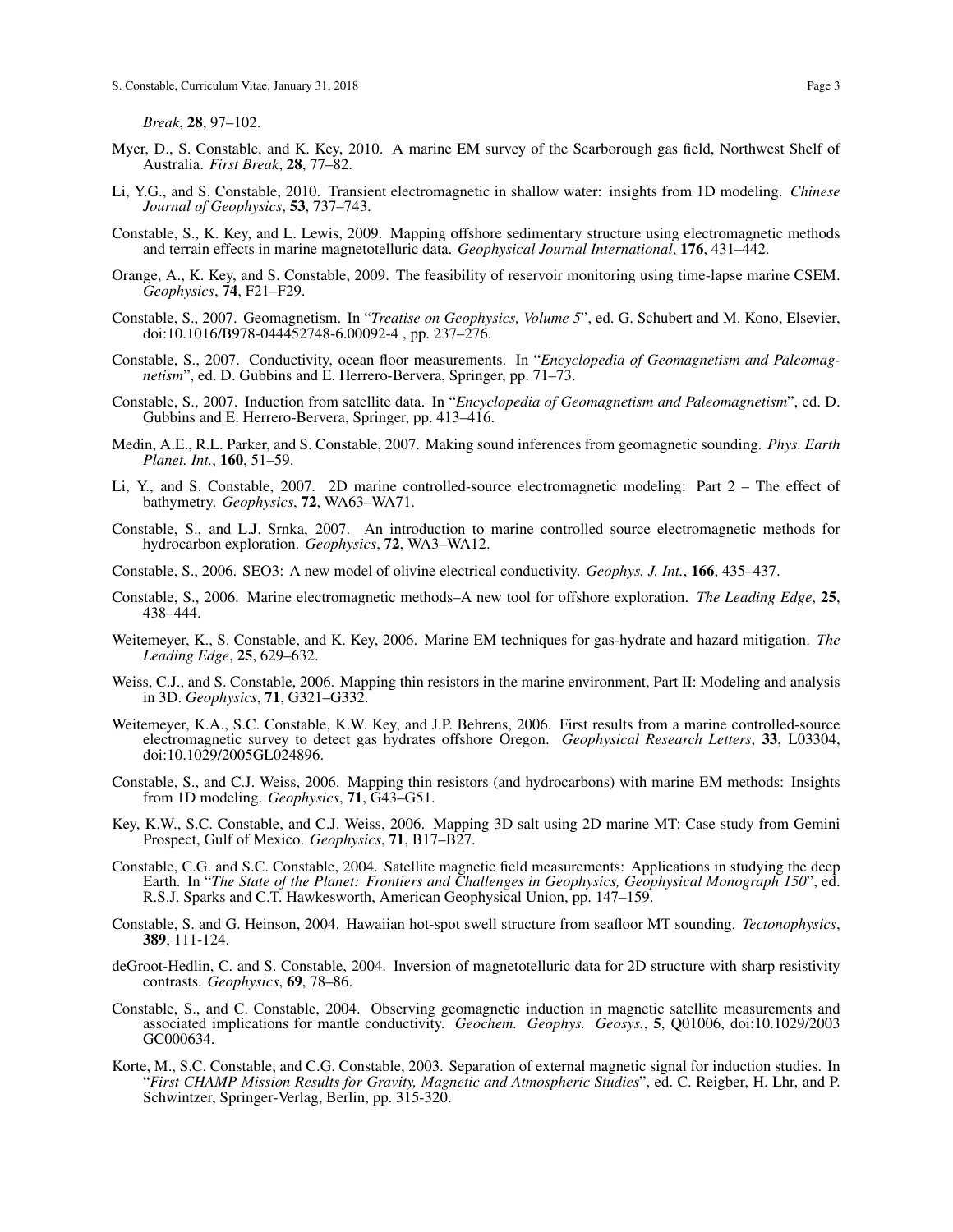*Break*, 28, 97–102.

- Myer, D., S. Constable, and K. Key, 2010. A marine EM survey of the Scarborough gas field, Northwest Shelf of Australia. *First Break*, 28, 77–82.
- Li, Y.G., and S. Constable, 2010. Transient electromagnetic in shallow water: insights from 1D modeling. *Chinese Journal of Geophysics*, 53, 737–743.
- Constable, S., K. Key, and L. Lewis, 2009. Mapping offshore sedimentary structure using electromagnetic methods and terrain effects in marine magnetotelluric data. *Geophysical Journal International*, 176, 431–442.
- Orange, A., K. Key, and S. Constable, 2009. The feasibility of reservoir monitoring using time-lapse marine CSEM. *Geophysics*, 74, F21–F29.
- Constable, S., 2007. Geomagnetism. In "*Treatise on Geophysics, Volume 5*", ed. G. Schubert and M. Kono, Elsevier, doi:10.1016/B978-044452748-6.00092-4 , pp. 237–276.
- Constable, S., 2007. Conductivity, ocean floor measurements. In "*Encyclopedia of Geomagnetism and Paleomagnetism*", ed. D. Gubbins and E. Herrero-Bervera, Springer, pp. 71–73.
- Constable, S., 2007. Induction from satellite data. In "*Encyclopedia of Geomagnetism and Paleomagnetism*", ed. D. Gubbins and E. Herrero-Bervera, Springer, pp. 413–416.
- Medin, A.E., R.L. Parker, and S. Constable, 2007. Making sound inferences from geomagnetic sounding. *Phys. Earth Planet. Int.*, 160, 51–59.
- Li, Y., and S. Constable, 2007. 2D marine controlled-source electromagnetic modeling: Part 2 The effect of bathymetry. *Geophysics*, 72, WA63–WA71.
- Constable, S., and L.J. Srnka, 2007. An introduction to marine controlled source electromagnetic methods for hydrocarbon exploration. *Geophysics*, 72, WA3–WA12.
- Constable, S., 2006. SEO3: A new model of olivine electrical conductivity. *Geophys. J. Int.*, 166, 435–437.
- Constable, S., 2006. Marine electromagnetic methods–A new tool for offshore exploration. *The Leading Edge*, 25, 438–444.
- Weitemeyer, K., S. Constable, and K. Key, 2006. Marine EM techniques for gas-hydrate and hazard mitigation. *The Leading Edge*, 25, 629–632.
- Weiss, C.J., and S. Constable, 2006. Mapping thin resistors in the marine environment, Part II: Modeling and analysis in 3D. *Geophysics*, 71, G321–G332.
- Weitemeyer, K.A., S.C. Constable, K.W. Key, and J.P. Behrens, 2006. First results from a marine controlled-source electromagnetic survey to detect gas hydrates offshore Oregon. *Geophysical Research Letters*, 33, L03304, doi:10.1029/2005GL024896.
- Constable, S., and C.J. Weiss, 2006. Mapping thin resistors (and hydrocarbons) with marine EM methods: Insights from 1D modeling. *Geophysics*, 71, G43–G51.
- Key, K.W., S.C. Constable, and C.J. Weiss, 2006. Mapping 3D salt using 2D marine MT: Case study from Gemini Prospect, Gulf of Mexico. *Geophysics*, 71, B17–B27.
- Constable, C.G. and S.C. Constable, 2004. Satellite magnetic field measurements: Applications in studying the deep Earth. In "*The State of the Planet: Frontiers and Challenges in Geophysics, Geophysical Monograph 150*", ed. R.S.J. Sparks and C.T. Hawkesworth, American Geophysical Union, pp. 147–159.
- Constable, S. and G. Heinson, 2004. Hawaiian hot-spot swell structure from seafloor MT sounding. *Tectonophysics*, 389, 111-124.
- deGroot-Hedlin, C. and S. Constable, 2004. Inversion of magnetotelluric data for 2D structure with sharp resistivity contrasts. *Geophysics*, 69, 78–86.
- Constable, S., and C. Constable, 2004. Observing geomagnetic induction in magnetic satellite measurements and associated implications for mantle conductivity. *Geochem. Geophys. Geosys.*, 5, Q01006, doi:10.1029/2003 GC000634.
- Korte, M., S.C. Constable, and C.G. Constable, 2003. Separation of external magnetic signal for induction studies. In "*First CHAMP Mission Results for Gravity, Magnetic and Atmospheric Studies*", ed. C. Reigber, H. Lhr, and P. Schwintzer, Springer-Verlag, Berlin, pp. 315-320.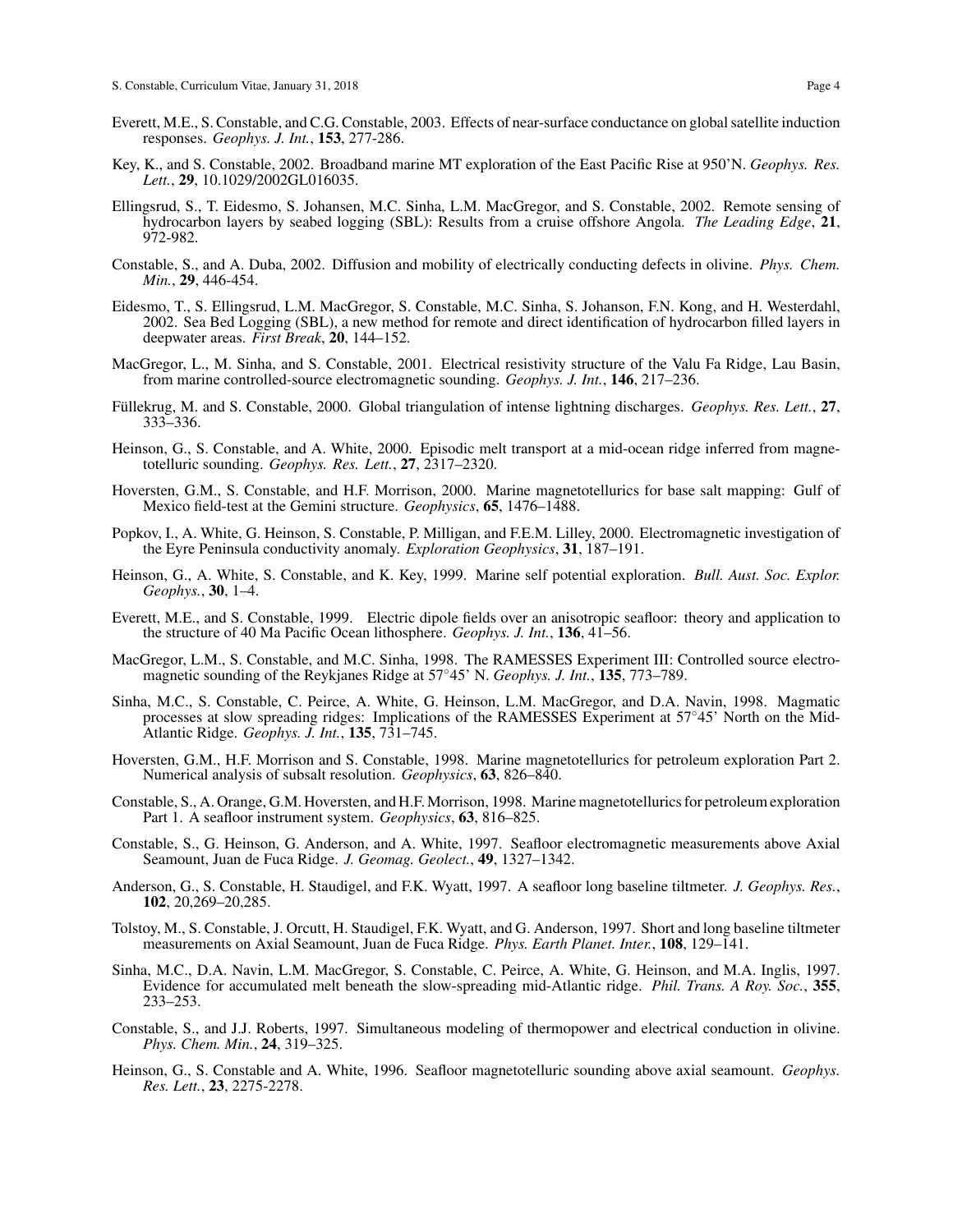- Everett, M.E., S. Constable, and C.G. Constable, 2003. Effects of near-surface conductance on global satellite induction responses. *Geophys. J. Int.*, 153, 277-286.
- Key, K., and S. Constable, 2002. Broadband marine MT exploration of the East Pacific Rise at 950'N. *Geophys. Res. Lett.*, 29, 10.1029/2002GL016035.
- Ellingsrud, S., T. Eidesmo, S. Johansen, M.C. Sinha, L.M. MacGregor, and S. Constable, 2002. Remote sensing of hydrocarbon layers by seabed logging (SBL): Results from a cruise offshore Angola. *The Leading Edge*, 21, 972-982.
- Constable, S., and A. Duba, 2002. Diffusion and mobility of electrically conducting defects in olivine. *Phys. Chem. Min.*, 29, 446-454.
- Eidesmo, T., S. Ellingsrud, L.M. MacGregor, S. Constable, M.C. Sinha, S. Johanson, F.N. Kong, and H. Westerdahl, 2002. Sea Bed Logging (SBL), a new method for remote and direct identification of hydrocarbon filled layers in deepwater areas. *First Break*, 20, 144–152.
- MacGregor, L., M. Sinha, and S. Constable, 2001. Electrical resistivity structure of the Valu Fa Ridge, Lau Basin, from marine controlled-source electromagnetic sounding. *Geophys. J. Int.*, 146, 217–236.
- Fullekrug, M. and S. Constable, 2000. Global triangulation of intense lightning discharges. ¨ *Geophys. Res. Lett.*, 27, 333–336.
- Heinson, G., S. Constable, and A. White, 2000. Episodic melt transport at a mid-ocean ridge inferred from magnetotelluric sounding. *Geophys. Res. Lett.*, 27, 2317–2320.
- Hoversten, G.M., S. Constable, and H.F. Morrison, 2000. Marine magnetotellurics for base salt mapping: Gulf of Mexico field-test at the Gemini structure. *Geophysics*, 65, 1476–1488.
- Popkov, I., A. White, G. Heinson, S. Constable, P. Milligan, and F.E.M. Lilley, 2000. Electromagnetic investigation of the Eyre Peninsula conductivity anomaly. *Exploration Geophysics*, 31, 187–191.
- Heinson, G., A. White, S. Constable, and K. Key, 1999. Marine self potential exploration. *Bull. Aust. Soc. Explor. Geophys.*, 30, 1–4.
- Everett, M.E., and S. Constable, 1999. Electric dipole fields over an anisotropic seafloor: theory and application to the structure of 40 Ma Pacific Ocean lithosphere. *Geophys. J. Int.*, 136, 41–56.
- MacGregor, L.M., S. Constable, and M.C. Sinha, 1998. The RAMESSES Experiment III: Controlled source electromagnetic sounding of the Reykjanes Ridge at 57◦45' N. *Geophys. J. Int.*, 135, 773–789.
- Sinha, M.C., S. Constable, C. Peirce, A. White, G. Heinson, L.M. MacGregor, and D.A. Navin, 1998. Magmatic processes at slow spreading ridges: Implications of the RAMESSES Experiment at 57°45' North on the Mid-Atlantic Ridge. *Geophys. J. Int.*, 135, 731–745.
- Hoversten, G.M., H.F. Morrison and S. Constable, 1998. Marine magnetotellurics for petroleum exploration Part 2. Numerical analysis of subsalt resolution. *Geophysics*, 63, 826–840.
- Constable, S., A. Orange, G.M. Hoversten, and H.F. Morrison, 1998. Marine magnetotellurics for petroleum exploration Part 1. A seafloor instrument system. *Geophysics*, 63, 816–825.
- Constable, S., G. Heinson, G. Anderson, and A. White, 1997. Seafloor electromagnetic measurements above Axial Seamount, Juan de Fuca Ridge. *J. Geomag. Geolect.*, 49, 1327–1342.
- Anderson, G., S. Constable, H. Staudigel, and F.K. Wyatt, 1997. A seafloor long baseline tiltmeter. *J. Geophys. Res.*, 102, 20,269–20,285.
- Tolstoy, M., S. Constable, J. Orcutt, H. Staudigel, F.K. Wyatt, and G. Anderson, 1997. Short and long baseline tiltmeter measurements on Axial Seamount, Juan de Fuca Ridge. *Phys. Earth Planet. Inter.*, 108, 129–141.
- Sinha, M.C., D.A. Navin, L.M. MacGregor, S. Constable, C. Peirce, A. White, G. Heinson, and M.A. Inglis, 1997. Evidence for accumulated melt beneath the slow-spreading mid-Atlantic ridge. *Phil. Trans. A Roy. Soc.*, 355, 233–253.
- Constable, S., and J.J. Roberts, 1997. Simultaneous modeling of thermopower and electrical conduction in olivine. *Phys. Chem. Min.*, 24, 319–325.
- Heinson, G., S. Constable and A. White, 1996. Seafloor magnetotelluric sounding above axial seamount. *Geophys. Res. Lett.*, 23, 2275-2278.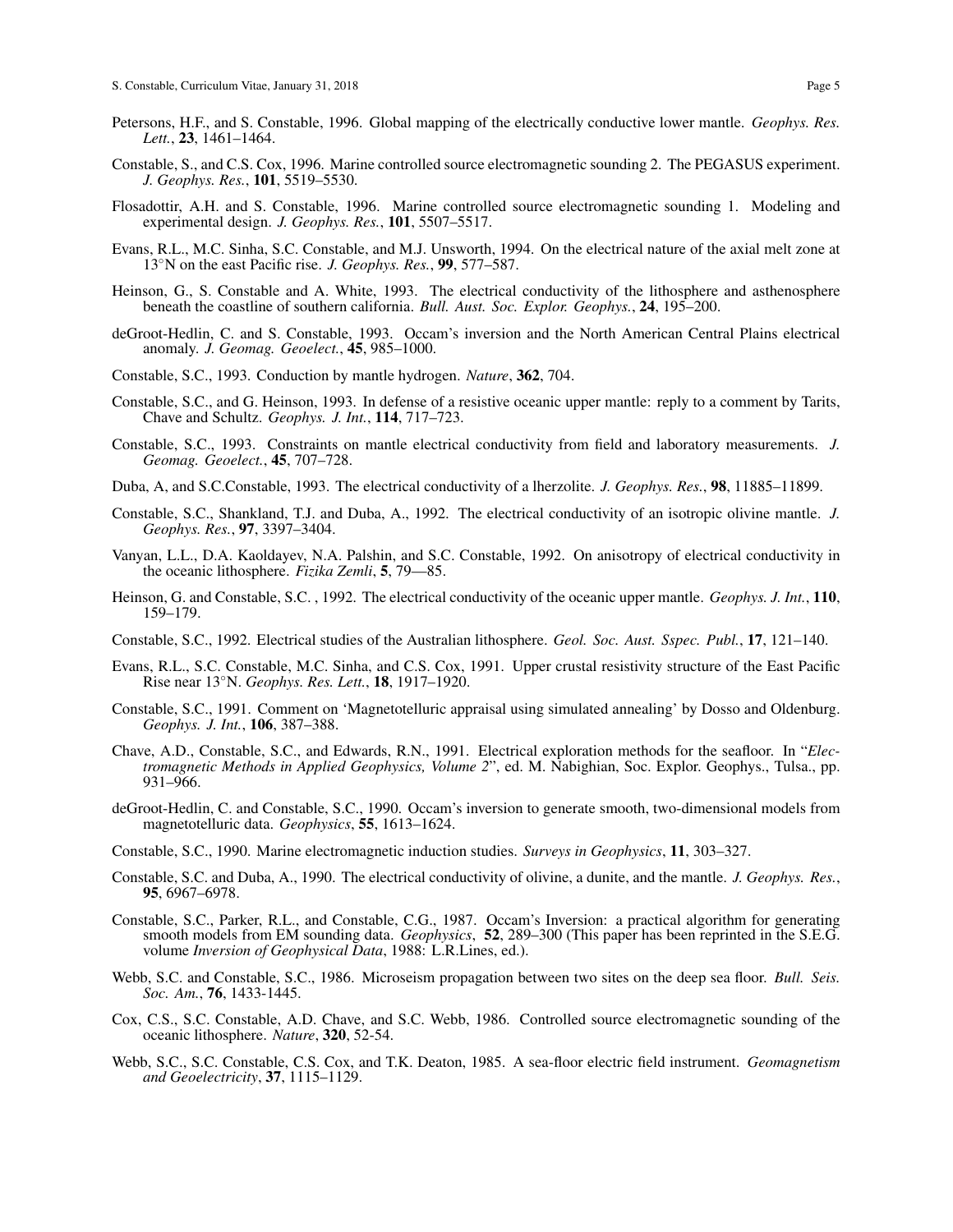- Petersons, H.F., and S. Constable, 1996. Global mapping of the electrically conductive lower mantle. *Geophys. Res. Lett.*, 23, 1461–1464.
- Constable, S., and C.S. Cox, 1996. Marine controlled source electromagnetic sounding 2. The PEGASUS experiment. *J. Geophys. Res.*, 101, 5519–5530.
- Flosadottir, A.H. and S. Constable, 1996. Marine controlled source electromagnetic sounding 1. Modeling and experimental design. *J. Geophys. Res.*, 101, 5507–5517.
- Evans, R.L., M.C. Sinha, S.C. Constable, and M.J. Unsworth, 1994. On the electrical nature of the axial melt zone at 13◦N on the east Pacific rise. *J. Geophys. Res.*, 99, 577–587.
- Heinson, G., S. Constable and A. White, 1993. The electrical conductivity of the lithosphere and asthenosphere beneath the coastline of southern california. *Bull. Aust. Soc. Explor. Geophys.*, 24, 195–200.
- deGroot-Hedlin, C. and S. Constable, 1993. Occam's inversion and the North American Central Plains electrical anomaly. *J. Geomag. Geoelect.*, 45, 985–1000.
- Constable, S.C., 1993. Conduction by mantle hydrogen. *Nature*, 362, 704.
- Constable, S.C., and G. Heinson, 1993. In defense of a resistive oceanic upper mantle: reply to a comment by Tarits, Chave and Schultz. *Geophys. J. Int.*, 114, 717–723.
- Constable, S.C., 1993. Constraints on mantle electrical conductivity from field and laboratory measurements. *J. Geomag. Geoelect.*, 45, 707–728.
- Duba, A, and S.C.Constable, 1993. The electrical conductivity of a lherzolite. *J. Geophys. Res.*, 98, 11885–11899.
- Constable, S.C., Shankland, T.J. and Duba, A., 1992. The electrical conductivity of an isotropic olivine mantle. *J. Geophys. Res.*, 97, 3397–3404.
- Vanyan, L.L., D.A. Kaoldayev, N.A. Palshin, and S.C. Constable, 1992. On anisotropy of electrical conductivity in the oceanic lithosphere. *Fizika Zemli*, 5, 79—85.
- Heinson, G. and Constable, S.C. , 1992. The electrical conductivity of the oceanic upper mantle. *Geophys. J. Int.*, 110, 159–179.
- Constable, S.C., 1992. Electrical studies of the Australian lithosphere. *Geol. Soc. Aust. Sspec. Publ.*, 17, 121–140.
- Evans, R.L., S.C. Constable, M.C. Sinha, and C.S. Cox, 1991. Upper crustal resistivity structure of the East Pacific Rise near 13◦N. *Geophys. Res. Lett.*, 18, 1917–1920.
- Constable, S.C., 1991. Comment on 'Magnetotelluric appraisal using simulated annealing' by Dosso and Oldenburg. *Geophys. J. Int.*, 106, 387–388.
- Chave, A.D., Constable, S.C., and Edwards, R.N., 1991. Electrical exploration methods for the seafloor. In "*Electromagnetic Methods in Applied Geophysics, Volume 2*", ed. M. Nabighian, Soc. Explor. Geophys., Tulsa., pp. 931–966.
- deGroot-Hedlin, C. and Constable, S.C., 1990. Occam's inversion to generate smooth, two-dimensional models from magnetotelluric data. *Geophysics*, 55, 1613–1624.
- Constable, S.C., 1990. Marine electromagnetic induction studies. *Surveys in Geophysics*, 11, 303–327.
- Constable, S.C. and Duba, A., 1990. The electrical conductivity of olivine, a dunite, and the mantle. *J. Geophys. Res.*, 95, 6967–6978.
- Constable, S.C., Parker, R.L., and Constable, C.G., 1987. Occam's Inversion: a practical algorithm for generating smooth models from EM sounding data. *Geophysics*, 52, 289–300 (This paper has been reprinted in the S.E.G. volume *Inversion of Geophysical Data*, 1988: L.R.Lines, ed.).
- Webb, S.C. and Constable, S.C., 1986. Microseism propagation between two sites on the deep sea floor. *Bull. Seis. Soc. Am.*, 76, 1433-1445.
- Cox, C.S., S.C. Constable, A.D. Chave, and S.C. Webb, 1986. Controlled source electromagnetic sounding of the oceanic lithosphere. *Nature*, 320, 52-54.
- Webb, S.C., S.C. Constable, C.S. Cox, and T.K. Deaton, 1985. A sea-floor electric field instrument. *Geomagnetism and Geoelectricity*, 37, 1115–1129.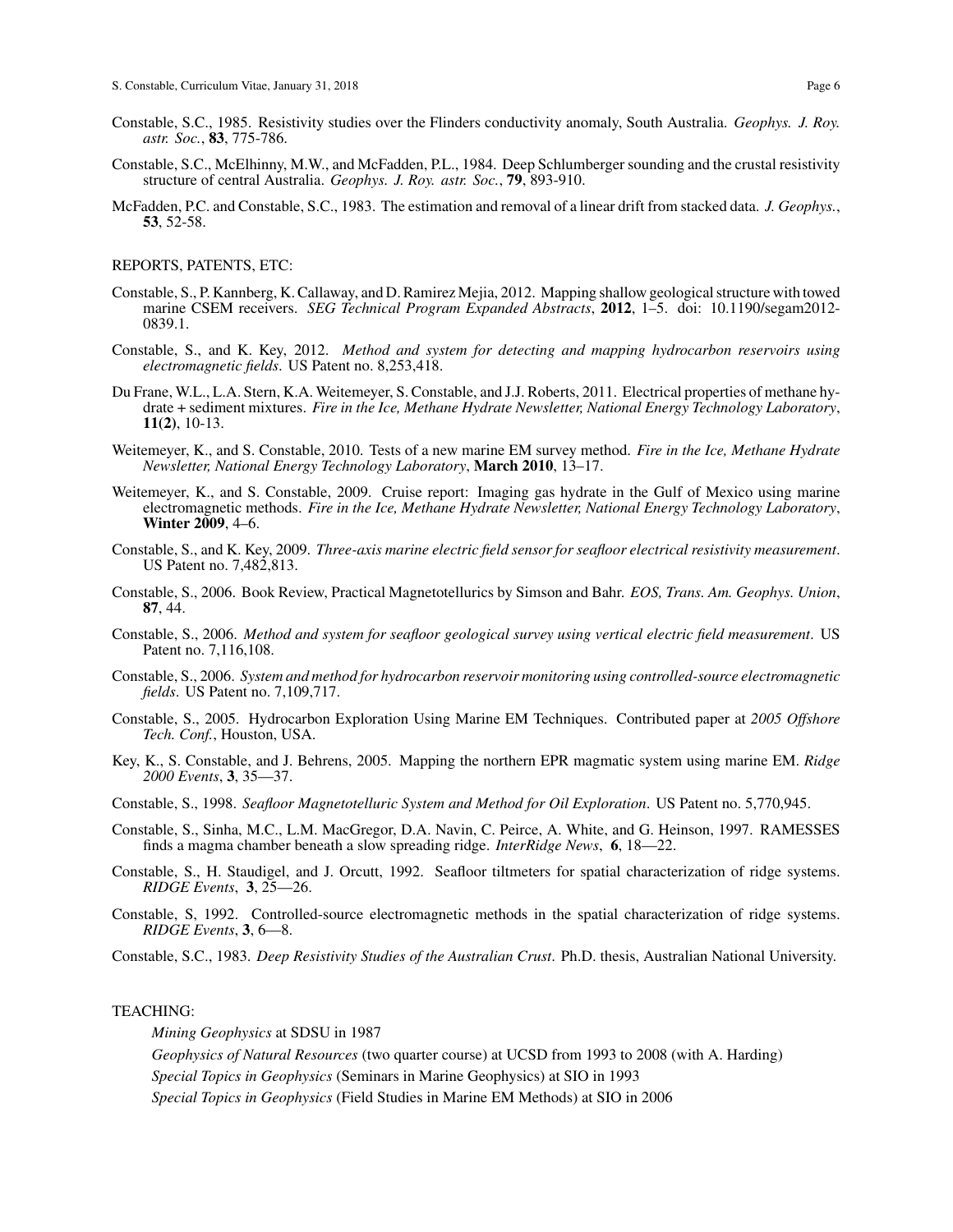- Constable, S.C., 1985. Resistivity studies over the Flinders conductivity anomaly, South Australia. *Geophys. J. Roy. astr. Soc.*, 83, 775-786.
- Constable, S.C., McElhinny, M.W., and McFadden, P.L., 1984. Deep Schlumberger sounding and the crustal resistivity structure of central Australia. *Geophys. J. Roy. astr. Soc.*, 79, 893-910.
- McFadden, P.C. and Constable, S.C., 1983. The estimation and removal of a linear drift from stacked data. *J. Geophys.*, 53, 52-58.

### REPORTS, PATENTS, ETC:

- Constable, S., P. Kannberg, K. Callaway, and D. Ramirez Mejia, 2012. Mapping shallow geological structure with towed marine CSEM receivers. *SEG Technical Program Expanded Abstracts*, 2012, 1–5. doi: 10.1190/segam2012- 0839.1.
- Constable, S., and K. Key, 2012. *Method and system for detecting and mapping hydrocarbon reservoirs using electromagnetic fields*. US Patent no. 8,253,418.
- Du Frane, W.L., L.A. Stern, K.A. Weitemeyer, S. Constable, and J.J. Roberts, 2011. Electrical properties of methane hydrate + sediment mixtures. *Fire in the Ice, Methane Hydrate Newsletter, National Energy Technology Laboratory*, 11(2), 10-13.
- Weitemeyer, K., and S. Constable, 2010. Tests of a new marine EM survey method. *Fire in the Ice, Methane Hydrate Newsletter, National Energy Technology Laboratory*, March 2010, 13–17.
- Weitemeyer, K., and S. Constable, 2009. Cruise report: Imaging gas hydrate in the Gulf of Mexico using marine electromagnetic methods. *Fire in the Ice, Methane Hydrate Newsletter, National Energy Technology Laboratory*, Winter 2009, 4–6.
- Constable, S., and K. Key, 2009. *Three-axis marine electric field sensor for seafloor electrical resistivity measurement*. US Patent no. 7,482,813.
- Constable, S., 2006. Book Review, Practical Magnetotellurics by Simson and Bahr. *EOS, Trans. Am. Geophys. Union*, 87, 44.
- Constable, S., 2006. *Method and system for seafloor geological survey using vertical electric field measurement*. US Patent no. 7,116,108.
- Constable, S., 2006. *System and method for hydrocarbon reservoir monitoring using controlled-source electromagnetic fields*. US Patent no. 7,109,717.
- Constable, S., 2005. Hydrocarbon Exploration Using Marine EM Techniques. Contributed paper at *2005 Offshore Tech. Conf.*, Houston, USA.
- Key, K., S. Constable, and J. Behrens, 2005. Mapping the northern EPR magmatic system using marine EM. *Ridge 2000 Events*, 3, 35—37.
- Constable, S., 1998. *Seafloor Magnetotelluric System and Method for Oil Exploration*. US Patent no. 5,770,945.
- Constable, S., Sinha, M.C., L.M. MacGregor, D.A. Navin, C. Peirce, A. White, and G. Heinson, 1997. RAMESSES finds a magma chamber beneath a slow spreading ridge. *InterRidge News*, 6, 18—22.
- Constable, S., H. Staudigel, and J. Orcutt, 1992. Seafloor tiltmeters for spatial characterization of ridge systems. *RIDGE Events*, 3, 25—26.
- Constable, S, 1992. Controlled-source electromagnetic methods in the spatial characterization of ridge systems. *RIDGE Events*, 3, 6—8.
- Constable, S.C., 1983. *Deep Resistivity Studies of the Australian Crust*. Ph.D. thesis, Australian National University.

## TEACHING:

*Mining Geophysics* at SDSU in 1987

*Geophysics of Natural Resources* (two quarter course) at UCSD from 1993 to 2008 (with A. Harding)

*Special Topics in Geophysics* (Seminars in Marine Geophysics) at SIO in 1993

*Special Topics in Geophysics* (Field Studies in Marine EM Methods) at SIO in 2006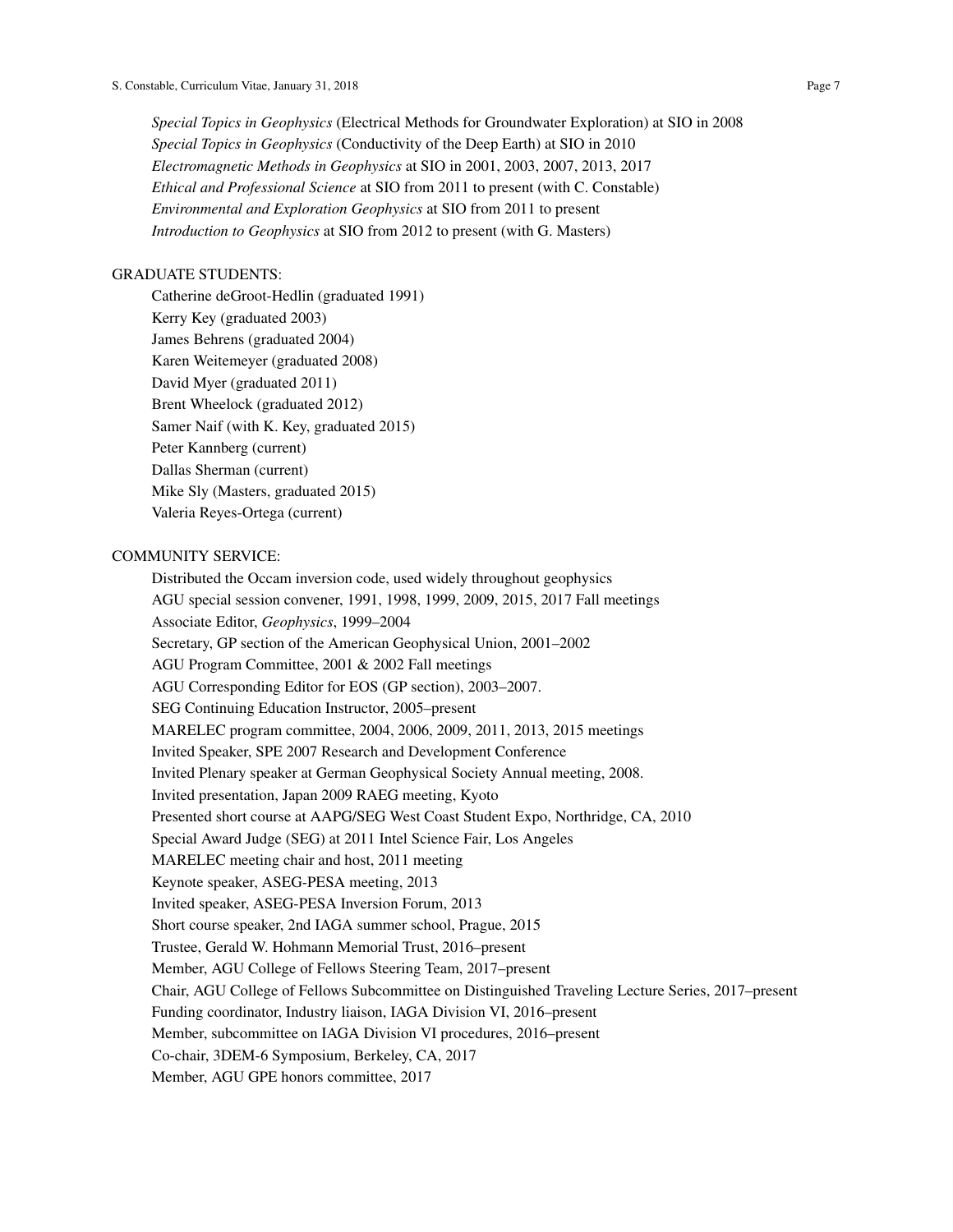*Special Topics in Geophysics* (Electrical Methods for Groundwater Exploration) at SIO in 2008 *Special Topics in Geophysics* (Conductivity of the Deep Earth) at SIO in 2010 *Electromagnetic Methods in Geophysics* at SIO in 2001, 2003, 2007, 2013, 2017 *Ethical and Professional Science* at SIO from 2011 to present (with C. Constable) *Environmental and Exploration Geophysics* at SIO from 2011 to present *Introduction to Geophysics* at SIO from 2012 to present (with G. Masters)

## GRADUATE STUDENTS:

Catherine deGroot-Hedlin (graduated 1991) Kerry Key (graduated 2003) James Behrens (graduated 2004) Karen Weitemeyer (graduated 2008) David Myer (graduated 2011) Brent Wheelock (graduated 2012) Samer Naif (with K. Key, graduated 2015) Peter Kannberg (current) Dallas Sherman (current) Mike Sly (Masters, graduated 2015) Valeria Reyes-Ortega (current)

# COMMUNITY SERVICE:

Distributed the Occam inversion code, used widely throughout geophysics AGU special session convener, 1991, 1998, 1999, 2009, 2015, 2017 Fall meetings Associate Editor, *Geophysics*, 1999–2004 Secretary, GP section of the American Geophysical Union, 2001–2002 AGU Program Committee, 2001 & 2002 Fall meetings AGU Corresponding Editor for EOS (GP section), 2003–2007. SEG Continuing Education Instructor, 2005–present MARELEC program committee, 2004, 2006, 2009, 2011, 2013, 2015 meetings Invited Speaker, SPE 2007 Research and Development Conference Invited Plenary speaker at German Geophysical Society Annual meeting, 2008. Invited presentation, Japan 2009 RAEG meeting, Kyoto Presented short course at AAPG/SEG West Coast Student Expo, Northridge, CA, 2010 Special Award Judge (SEG) at 2011 Intel Science Fair, Los Angeles MARELEC meeting chair and host, 2011 meeting Keynote speaker, ASEG-PESA meeting, 2013 Invited speaker, ASEG-PESA Inversion Forum, 2013 Short course speaker, 2nd IAGA summer school, Prague, 2015 Trustee, Gerald W. Hohmann Memorial Trust, 2016–present Member, AGU College of Fellows Steering Team, 2017–present Chair, AGU College of Fellows Subcommittee on Distinguished Traveling Lecture Series, 2017–present Funding coordinator, Industry liaison, IAGA Division VI, 2016–present Member, subcommittee on IAGA Division VI procedures, 2016–present Co-chair, 3DEM-6 Symposium, Berkeley, CA, 2017 Member, AGU GPE honors committee, 2017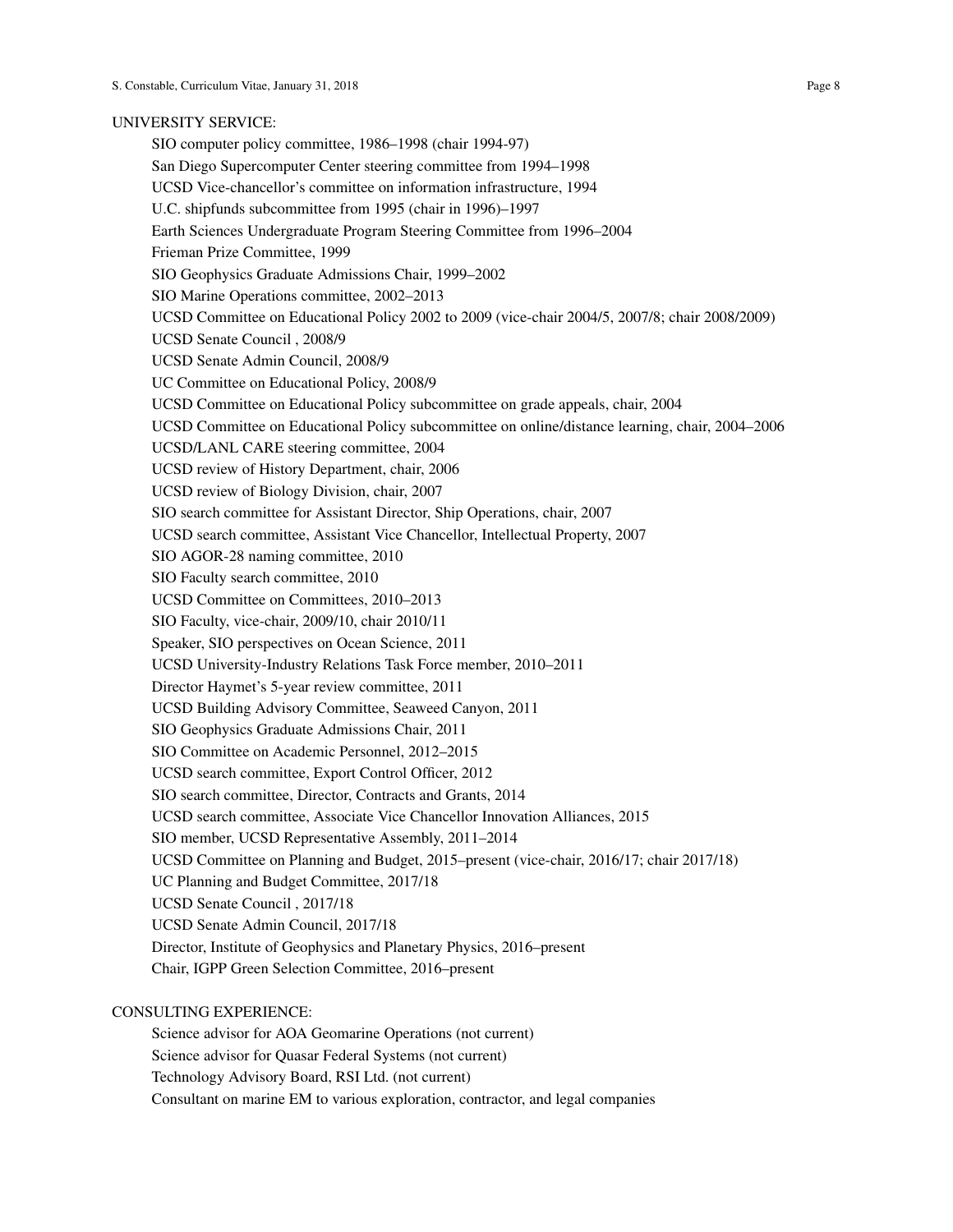#### UNIVERSITY SERVICE:

SIO computer policy committee, 1986–1998 (chair 1994-97) San Diego Supercomputer Center steering committee from 1994–1998 UCSD Vice-chancellor's committee on information infrastructure, 1994 U.C. shipfunds subcommittee from 1995 (chair in 1996)–1997 Earth Sciences Undergraduate Program Steering Committee from 1996–2004 Frieman Prize Committee, 1999 SIO Geophysics Graduate Admissions Chair, 1999–2002 SIO Marine Operations committee, 2002–2013 UCSD Committee on Educational Policy 2002 to 2009 (vice-chair 2004/5, 2007/8; chair 2008/2009) UCSD Senate Council , 2008/9 UCSD Senate Admin Council, 2008/9 UC Committee on Educational Policy, 2008/9 UCSD Committee on Educational Policy subcommittee on grade appeals, chair, 2004 UCSD Committee on Educational Policy subcommittee on online/distance learning, chair, 2004–2006 UCSD/LANL CARE steering committee, 2004 UCSD review of History Department, chair, 2006 UCSD review of Biology Division, chair, 2007 SIO search committee for Assistant Director, Ship Operations, chair, 2007 UCSD search committee, Assistant Vice Chancellor, Intellectual Property, 2007 SIO AGOR-28 naming committee, 2010 SIO Faculty search committee, 2010 UCSD Committee on Committees, 2010–2013 SIO Faculty, vice-chair, 2009/10, chair 2010/11 Speaker, SIO perspectives on Ocean Science, 2011 UCSD University-Industry Relations Task Force member, 2010–2011 Director Haymet's 5-year review committee, 2011 UCSD Building Advisory Committee, Seaweed Canyon, 2011 SIO Geophysics Graduate Admissions Chair, 2011 SIO Committee on Academic Personnel, 2012–2015 UCSD search committee, Export Control Officer, 2012 SIO search committee, Director, Contracts and Grants, 2014 UCSD search committee, Associate Vice Chancellor Innovation Alliances, 2015 SIO member, UCSD Representative Assembly, 2011–2014 UCSD Committee on Planning and Budget, 2015–present (vice-chair, 2016/17; chair 2017/18) UC Planning and Budget Committee, 2017/18 UCSD Senate Council , 2017/18 UCSD Senate Admin Council, 2017/18 Director, Institute of Geophysics and Planetary Physics, 2016–present Chair, IGPP Green Selection Committee, 2016–present

# CONSULTING EXPERIENCE:

Science advisor for AOA Geomarine Operations (not current) Science advisor for Quasar Federal Systems (not current) Technology Advisory Board, RSI Ltd. (not current) Consultant on marine EM to various exploration, contractor, and legal companies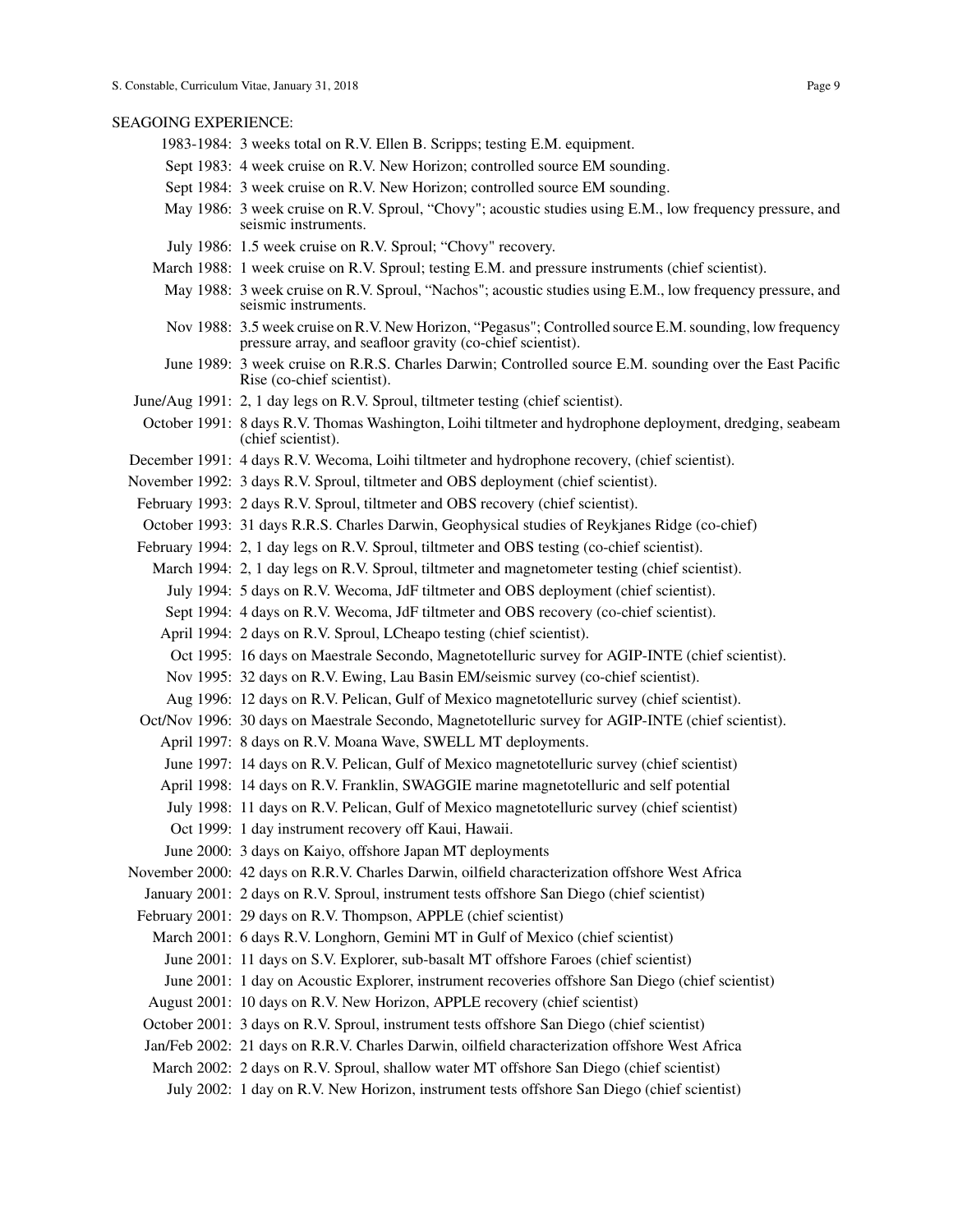#### SEAGOING EXPERIENCE:

- 1983-1984: 3 weeks total on R.V. Ellen B. Scripps; testing E.M. equipment.
- Sept 1983: 4 week cruise on R.V. New Horizon; controlled source EM sounding.
- Sept 1984: 3 week cruise on R.V. New Horizon; controlled source EM sounding.
- May 1986: 3 week cruise on R.V. Sproul, "Chovy"; acoustic studies using E.M., low frequency pressure, and seismic instruments.
- July 1986: 1.5 week cruise on R.V. Sproul; "Chovy" recovery.
- March 1988: 1 week cruise on R.V. Sproul; testing E.M. and pressure instruments (chief scientist).
	- May 1988: 3 week cruise on R.V. Sproul, "Nachos"; acoustic studies using E.M., low frequency pressure, and seismic instruments.
	- Nov 1988: 3.5 week cruise on R.V. New Horizon, "Pegasus"; Controlled source E.M. sounding, low frequency pressure array, and seafloor gravity (co-chief scientist).
	- June 1989: 3 week cruise on R.R.S. Charles Darwin; Controlled source E.M. sounding over the East Pacific Rise (co-chief scientist).
- June/Aug 1991: 2, 1 day legs on R.V. Sproul, tiltmeter testing (chief scientist).
- October 1991: 8 days R.V. Thomas Washington, Loihi tiltmeter and hydrophone deployment, dredging, seabeam (chief scientist).
- December 1991: 4 days R.V. Wecoma, Loihi tiltmeter and hydrophone recovery, (chief scientist).
- November 1992: 3 days R.V. Sproul, tiltmeter and OBS deployment (chief scientist).
- February 1993: 2 days R.V. Sproul, tiltmeter and OBS recovery (chief scientist).
- October 1993: 31 days R.R.S. Charles Darwin, Geophysical studies of Reykjanes Ridge (co-chief)
- February 1994: 2, 1 day legs on R.V. Sproul, tiltmeter and OBS testing (co-chief scientist).
	- March 1994: 2, 1 day legs on R.V. Sproul, tiltmeter and magnetometer testing (chief scientist).
		- July 1994: 5 days on R.V. Wecoma, JdF tiltmeter and OBS deployment (chief scientist).
		- Sept 1994: 4 days on R.V. Wecoma, JdF tiltmeter and OBS recovery (co-chief scientist).
		- April 1994: 2 days on R.V. Sproul, LCheapo testing (chief scientist).
		- Oct 1995: 16 days on Maestrale Secondo, Magnetotelluric survey for AGIP-INTE (chief scientist).
		- Nov 1995: 32 days on R.V. Ewing, Lau Basin EM/seismic survey (co-chief scientist).
		- Aug 1996: 12 days on R.V. Pelican, Gulf of Mexico magnetotelluric survey (chief scientist).
- Oct/Nov 1996: 30 days on Maestrale Secondo, Magnetotelluric survey for AGIP-INTE (chief scientist).
- April 1997: 8 days on R.V. Moana Wave, SWELL MT deployments.
- June 1997: 14 days on R.V. Pelican, Gulf of Mexico magnetotelluric survey (chief scientist)
- April 1998: 14 days on R.V. Franklin, SWAGGIE marine magnetotelluric and self potential
- July 1998: 11 days on R.V. Pelican, Gulf of Mexico magnetotelluric survey (chief scientist)
- Oct 1999: 1 day instrument recovery off Kaui, Hawaii.
- June 2000: 3 days on Kaiyo, offshore Japan MT deployments
- November 2000: 42 days on R.R.V. Charles Darwin, oilfield characterization offshore West Africa
- January 2001: 2 days on R.V. Sproul, instrument tests offshore San Diego (chief scientist)
- February 2001: 29 days on R.V. Thompson, APPLE (chief scientist)
	- March 2001: 6 days R.V. Longhorn, Gemini MT in Gulf of Mexico (chief scientist)
		- June 2001: 11 days on S.V. Explorer, sub-basalt MT offshore Faroes (chief scientist)
		- June 2001: 1 day on Acoustic Explorer, instrument recoveries offshore San Diego (chief scientist)
	- August 2001: 10 days on R.V. New Horizon, APPLE recovery (chief scientist)
	- October 2001: 3 days on R.V. Sproul, instrument tests offshore San Diego (chief scientist)
	- Jan/Feb 2002: 21 days on R.R.V. Charles Darwin, oilfield characterization offshore West Africa
	- March 2002: 2 days on R.V. Sproul, shallow water MT offshore San Diego (chief scientist)
		- July 2002: 1 day on R.V. New Horizon, instrument tests offshore San Diego (chief scientist)